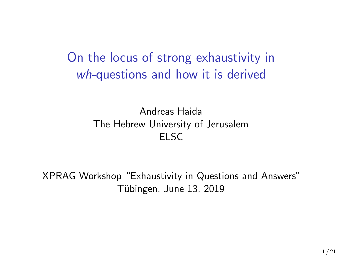On the locus of strong exhaustivity in *wh-*questions and how it is derived

> Andreas Haida The Hebrew University of Jerusalem ELSC

XPRAG Workshop "Exhaustivity in Questions and Answers" Tübingen, June 13, 2019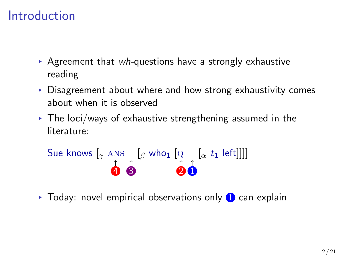### Introduction

- ▸ Agreement that *wh-*questions have a strongly exhaustive reading
- ▸ Disagreement about where and how strong exhaustivity comes about when it is observed
- $\triangleright$  The loci/ways of exhaustive strengthening assumed in the literature:

Sue knows 
$$
\left[\gamma \text{ Ans} - \left[\beta \text{ who}\right] \left[\text{Q} - \left[\alpha t_1 \text{ left}\right]\right]\right]
$$

\n•  $\left[\text{O} \right]$ 

\n•  $\left[\text{O} \right]$ 

 $\triangleright$  Today: novel empirical observations only  $\Box$  can explain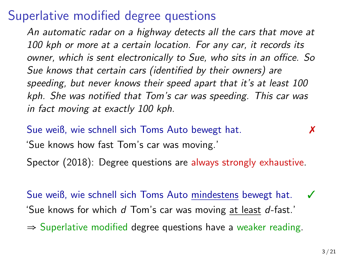### Superlative modified degree questions

*An automatic radar on a highway detects all the cars that move at 100 kph or more at a certain location. For any car, it records its owner, which is sent electronically to Sue, who sits in an office. So Sue knows that certain cars (identified by their owners) are speeding, but never knows their speed apart that it's at least 100 kph. She was notified that Tom's car was speeding. This car was in fact moving at exactly 100 kph.*

Sue weiß, wie schnell sich Toms Auto bewegt hat. ✗ 'Sue knows how fast Tom's car was moving.' Spector (2018): Degree questions are always strongly exhaustive.

Sue weiß, wie schnell sich Toms Auto mindestens bewegt hat. 'Sue knows for which *d* Tom's car was moving at least *d*-fast.'

⇒ Superlative modified degree questions have a weaker reading.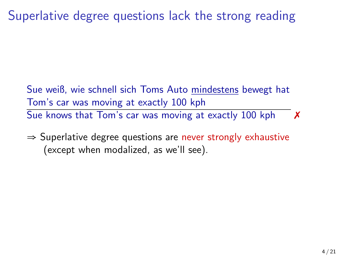Superlative degree questions lack the strong reading

Sue weiß, wie schnell sich Toms Auto mindestens bewegt hat Tom's car was moving at exactly 100 kph Sue knows that Tom's car was moving at exactly 100 kph  $\times$ 

 $\Rightarrow$  Superlative degree questions are never strongly exhaustive (except when modalized, as we'll see).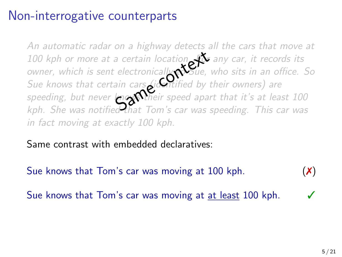### Non-interrogative counterparts

*An automatic radar on a highway detects all the cars that move at 100 kph or more at a certain location. For any car, it records its owner, which is sent electronically to Sue, who sits in an office. So Sue knows that certain cars (identified by their owners) are speeding, but never knows their speed apart that it's at least 100 kph. She was notified that Tom's car was speeding. This car was in fact moving at exactly 100 kph.* a certain location<br>electronically<br>ain cars dicentified by the<br>large their speed apart<br>contact Tom's car was

Same contrast with embedded declaratives:

Sue knows that Tom's car was moving at 100 kph.  $(\chi)$ Sue knows that Tom's car was moving at at least 100 kph.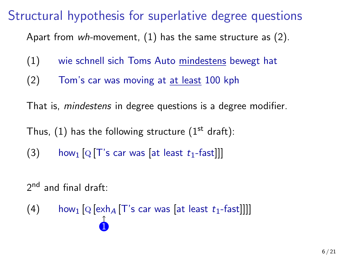### Structural hypothesis for superlative degree questions

Apart from *wh-*movement, (1) has the same structure as (2).

- (1) wie schnell sich Toms Auto mindestens bewegt hat
- (2) Tom's car was moving at at least 100 kph

That is, *mindestens* in degree questions is a degree modifier.

Thus,  $(1)$  has the following structure  $(1^{st}$  draft):

(3) how<sub>1</sub>  $[Q[T]$ 's car was  $[at least t_1-fast]]$ 

2<sup>nd</sup> and final draft:

(4) how<sub>1</sub>  $[Q \left[ e \times h_A \left[ T \right] s \right] \text{ car was } [at \left[ e \right] \text{ east } t_1 \text{-fast}]]]$  $\hat{\mathbf{0}}$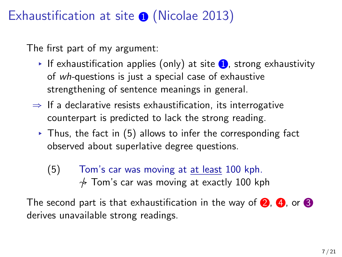## Exhaustification at site  $\odot$  (Nicolae 2013)

The first part of my argument:

- If exhaustification applies (only) at site  $\bigcirc$ , strong exhaustivity of *wh-*questions is just a special case of exhaustive strengthening of sentence meanings in general.
- $\Rightarrow$  If a declarative resists exhaustification, its interrogative counterpart is predicted to lack the strong reading.
- $\triangleright$  Thus, the fact in (5) allows to infer the corresponding fact observed about superlative degree questions.
	- (5) Tom's car was moving at at least 100 kph.  $\frac{1}{\gamma}$  Tom's car was moving at exactly 100 kph

The second part is that exhaustification in the way of  $\bigcirc$ ,  $\bigcirc$ , or  $\bigcirc$ derives unavailable strong readings.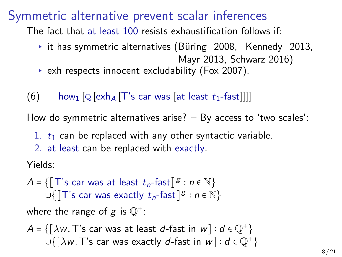#### Symmetric alternative prevent scalar inferences

The fact that at least 100 resists exhaustification follows if:

- $\rightarrow$  it has symmetric alternatives (Büring 2008, Kennedy 2013, Mayr 2013, Schwarz 2016)
- ▸ exh respects innocent excludability (Fox 2007).
- $(6)$  how<sub>1</sub> [Q [exh<sub>A</sub> [T's car was [at least  $t_1$ -fast]]]]

How do symmetric alternatives arise? – By access to 'two scales':

- 1.  $t_1$  can be replaced with any other syntactic variable.
- 2. at least can be replaced with exactly.

Yields:

$$
A = \{\llbracket \top \text{'s car was at least } t_n\text{-fast} \rrbracket^g : n \in \mathbb{N}\}
$$
  

$$
\cup \{\llbracket \top \text{'s car was exactly } t_n\text{-fast} \rrbracket^g : n \in \mathbb{N}\}
$$

where the range of  $g$  is  $\mathbb{Q}^{+}$ :

$$
A = \{ [\lambda w. T's car was at least d-fast in w] : d \in \mathbb{Q}^+ \}
$$
  

$$
\cup \{ [\lambda w. T's car was exactly d-fast in w] : d \in \mathbb{Q}^+ \}
$$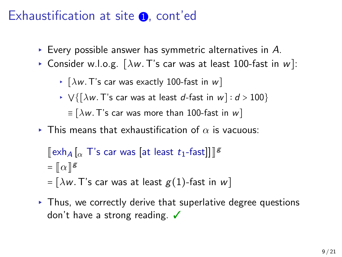### Exhaustification at site  $\Omega$ , cont'ed

- ▸ Every possible answer has symmetric alternatives in *A*.
- ▸ Consider w.l.o.g. [*λw.*T's car was at least 100-fast in *w*]:
	- ▸ [*λw.*T's car was exactly 100-fast in *w*]
	- ▸ ⋁{[*λw.*T's car was at least *<sup>d</sup>*-fast in *<sup>w</sup>*] <sup>∶</sup> *<sup>d</sup>* <sup>&</sup>gt; <sup>100</sup>}  $\equiv$   $[\lambda w$ . T's car was more than 100-fast in w]
- $\triangleright$  This means that exhaustification of  $\alpha$  is vacuous:

$$
[\![ \n \exp A \, [\n \alpha \, T' \, \text{s} \, \text{car was} \, [\n \text{at least } t_1 \text{-fast} ] ] ]\!]^g
$$
\n
$$
= [\![ \alpha \, ]\!]^g
$$
\n
$$
= [\lambda w. \, T' \, \text{s} \, \text{car was at least } g(1) \text{-fast in } w ]
$$

 $\triangleright$  Thus, we correctly derive that superlative degree questions don't have a strong reading. ✔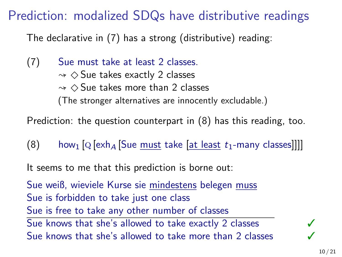## Prediction: modalized SDQs have distributive readings

The declarative in (7) has a strong (distributive) reading:

(7) Sue must take at least 2 classes.  $\rightsquigarrow$   $\diamond$  Sue takes exactly 2 classes  $\sim$   $\diamond$  Sue takes more than 2 classes (The stronger alternatives are innocently excludable.)

Prediction: the question counterpart in (8) has this reading, too.

(8) how<sub>1</sub>  $[Q \left[ \exp \left\{ A \right] \right]$  [Sue must take  $[a \left[ \frac{1}{2} \right]$  and  $b \left[ \frac{1}{2} \right]$   $[Q \left[ \exp \left\{ A \right] \right]$  [Sue must take  $[a \left[ \frac{1}{2} \right]$  and  $b \left[ \frac{1}{2} \right]$  and  $b \left[ \frac{1}{2} \right]$  and  $b \left[ \frac{1}{2} \right]$  and  $b \left[ \frac{1}{2} \right$ 

It seems to me that this prediction is borne out:

Sue weiß, wieviele Kurse sie mindestens belegen muss Sue is forbidden to take just one class Sue is free to take any other number of classes Sue knows that she's allowed to take exactly 2 classes  $\checkmark$ Sue knows that she's allowed to take more than 2 classes  $\checkmark$ 

10 / 21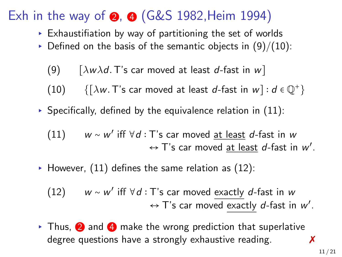## Exh in the way of  $\odot$ ,  $\odot$  (G&S 1982, Heim 1994)

- ▸ Exhaustifiation by way of partitioning the set of worlds
- $\triangleright$  Defined on the basis of the semantic objects in  $(9)/(10)$ :
	- (9) [*λwλd.*T's car moved at least *d*-fast in *w*]
	- (10)  $\{[\lambda w.\text{ T's car moved at least } d\text{-fast in } w]: d \in \mathbb{Q}^+\}$
- ▶ Specifically, defined by the equivalence relation in  $(11)$ :
	- (11) *<sup>w</sup>* <sup>∼</sup> *<sup>w</sup>* ′ iff ∀*d* ∶ T's car moved at least *d*-fast in *w* ↔ T's car moved at least *d*-fast in *w* ′ .
- $\blacktriangleright$  However, (11) defines the same relation as (12):
	- (12) *<sup>w</sup>* <sup>∼</sup> *<sup>w</sup>* ′ iff ∀*d* ∶ T's car moved exactly *d*-fast in *w* ← T's car moved <u>exactly</u> d-fast in w'.
- $\triangleright$  Thus,  $\odot$  and  $\odot$  make the wrong prediction that superlative degree questions have a strongly exhaustive reading.  $\boldsymbol{x}$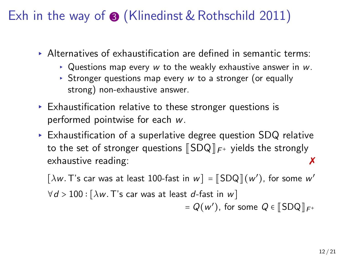## Exh in the way of  $\odot$  (Klinedinst & Rothschild 2011)

- ▸ Alternatives of exhaustification are defined in semantic terms:
	- ▸ Questions map every *w* to the weakly exhaustive answer in *w*.
	- ▸ Stronger questions map every *w* to a stronger (or equally strong) non-exhaustive answer.
- ▸ Exhaustification relative to these stronger questions is performed pointwise for each *w*.
- $\triangleright$  Exhaustification of a superlative degree question SDQ relative to the set of stronger questions  $[\![\mathsf{SDQ}]\!]_{\mathsf{F}^+}$  yields the strongly exhaustive reading: exhaustive reading:

 $\left[\lambda w.\text{ T's car was at least 100-fast in } w\right] = \left[\text{SDQ}\right](w'),$  for some  $w'$ <sup>∀</sup>*<sup>d</sup>* <sup>&</sup>gt; <sup>100</sup> <sup>∶</sup> [*λw.*T's car was at least *<sup>d</sup>*-fast in *<sup>w</sup>*]  $= Q(w')$ , for some  $Q \in \llbracket \text{SDQ} \rrbracket_{F^+}$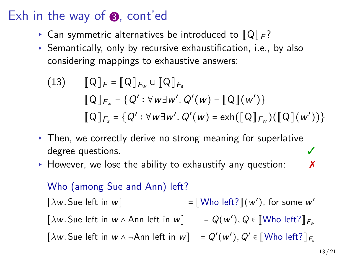### Exh in the way of  $\odot$ , cont'ed

- $\triangleright$  Can symmetric alternatives be introduced to  $\llbracket \mathsf{Q} \rrbracket_F$ ?
- $\triangleright$  Semantically, only by recursive exhaustification, i.e., by also considering mappings to exhaustive answers:

(13) 
$$
[\![Q]\!]_F = [\![Q]\!]_{F_w} \cup [\![Q]\!]_{F_s}
$$

$$
[\![Q]\!]_{F_w} = \{Q' : \forall w \exists w'. Q'(w) = [\![Q]\!](w')\}
$$

$$
[\![Q]\!]_{F_s} = \{Q' : \forall w \exists w'. Q'(w) = \text{exh}([\![Q]\!]_{F_w})([\![Q]\!](w'))\}
$$

- ▸ Then, we correctly derive no strong meaning for superlative degree questions.
- $\triangleright$  However, we lose the ability to exhaustify any question:  $\lambda$

#### Who (among Sue and Ann) left?

 $[\lambda w$ . Sue left in w] ′ ), for some *w* ′  $[\lambda w.$  Sue left in  $w \wedge$  Ann left in  $w$   $]$  =  $Q(w'), Q \in [\![ \mathsf{W} \mathsf{ho} \; ] \!]$ *F*<sub>*w*</sub>  $\left[\lambda w.\text{ Sue left in } w \wedge \neg \text{Ann left in } w\right] = Q'(w'), Q' \in \llbracket \text{Who left?} \rrbracket_{F_s}$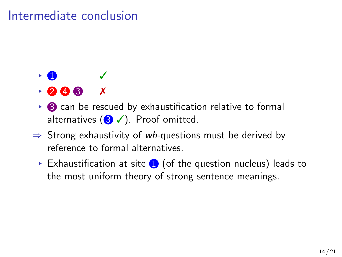### Intermediate conclusion

# $\cdot$  0

- $\rightarrow$  2 4 3  $\times$
- $\triangleright$  3 can be rescued by exhaustification relative to formal alternatives  $($   $\bullet$   $\checkmark$ ). Proof omitted.
- ⇒ Strong exhaustivity of *wh-*questions must be derived by reference to formal alternatives.
	- $\triangleright$  Exhaustification at site  $\bigcirc$  (of the question nucleus) leads to the most uniform theory of strong sentence meanings.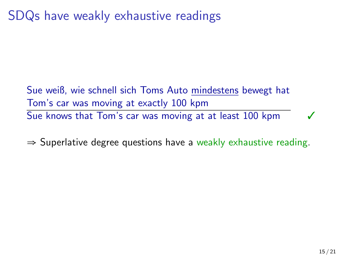SDQs have weakly exhaustive readings

Sue weiß, wie schnell sich Toms Auto mindestens bewegt hat Tom's car was moving at exactly 100 kpm Sue knows that Tom's car was moving at at least 100 kpm

 $\Rightarrow$  Superlative degree questions have a weakly exhaustive reading.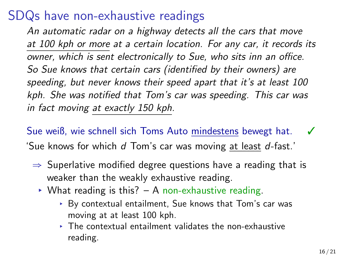### SDQs have non-exhaustive readings

*An automatic radar on a highway detects all the cars that move at 100 kph or more at a certain location. For any car, it records its owner, which is sent electronically to Sue, who sits inn an office. So Sue knows that certain cars (identified by their owners) are speeding, but never knows their speed apart that it's at least 100 kph. She was notified that Tom's car was speeding. This car was in fact moving at exactly 150 kph.*

Sue weiß, wie schnell sich Toms Auto mindestens bewegt hat. 'Sue knows for which *d* Tom's car was moving at least *d*-fast.'

- $\Rightarrow$  Superlative modified degree questions have a reading that is weaker than the weakly exhaustive reading.
	- $\triangleright$  What reading is this? A non-exhaustive reading.
		- ▸ By contextual entailment, Sue knows that Tom's car was moving at at least 100 kph.
		- ▸ The contextual entailment validates the non-exhaustive reading.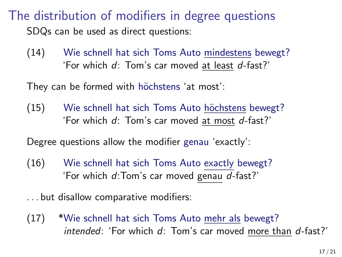The distribution of modifiers in degree questions SDQs can be used as direct questions:

(14) Wie schnell hat sich Toms Auto mindestens bewegt? 'For which *d*: Tom's car moved at least *d*-fast?'

They can be formed with höchstens 'at most':

(15) Wie schnell hat sich Toms Auto höchstens bewegt? 'For which *d*: Tom's car moved at most *d*-fast?'

Degree questions allow the modifier genau 'exactly':

(16) Wie schnell hat sich Toms Auto exactly bewegt? 'For which *d*:Tom's car moved genau *d*-fast?'

. . . but disallow comparative modifiers:

(17) \*Wie schnell hat sich Toms Auto mehr als bewegt? *intended*: 'For which *d*: Tom's car moved more than *d*-fast?'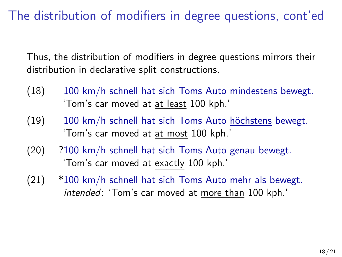The distribution of modifiers in degree questions, cont'ed

Thus, the distribution of modifiers in degree questions mirrors their distribution in declarative split constructions.

- (18) 100 km/h schnell hat sich Toms Auto mindestens bewegt. 'Tom's car moved at at least 100 kph.'
- $(19)$  100 km/h schnell hat sich Toms Auto höchstens bewegt. 'Tom's car moved at at most 100 kph.'
- (20) ?100 km/h schnell hat sich Toms Auto genau bewegt. 'Tom's car moved at exactly 100 kph.'
- (21) \*100 km/h schnell hat sich Toms Auto mehr als bewegt. *intended*: 'Tom's car moved at more than 100 kph.'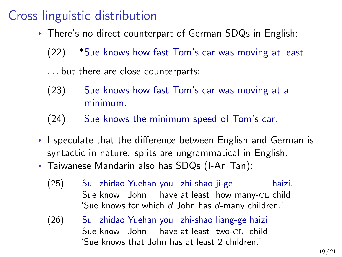### Cross linguistic distribution

▸ There's no direct counterpart of German SDQs in English:

(22) \*Sue knows how fast Tom's car was moving at least.

. . . but there are close counterparts:

- (23) Sue knows how fast Tom's car was moving at a minimum.
- (24) Sue knows the minimum speed of Tom's car.
- ▸ I speculate that the difference between English and German is syntactic in nature: splits are ungrammatical in English.
- ▸ Taiwanese Mandarin also has SDQs (I-An Tan):
	- $(25)$ Sue know John have at least how many-CL child zhidao Yuehan you zhi-shao ji-ge haizi. 'Sue knows for which *d* John has *d*-many children.'
	- $(26)$ Sue know John have at least two-CL child zhidao Yuehan you zhi-shao liang-ge haizi 'Sue knows that John has at least 2 children.'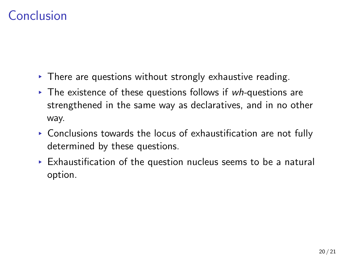### Conclusion

- ▸ There are questions without strongly exhaustive reading.
- ▸ The existence of these questions follows if *wh-*questions are strengthened in the same way as declaratives, and in no other way.
- ▸ Conclusions towards the locus of exhaustification are not fully determined by these questions.
- $\triangleright$  Exhaustification of the question nucleus seems to be a natural option.